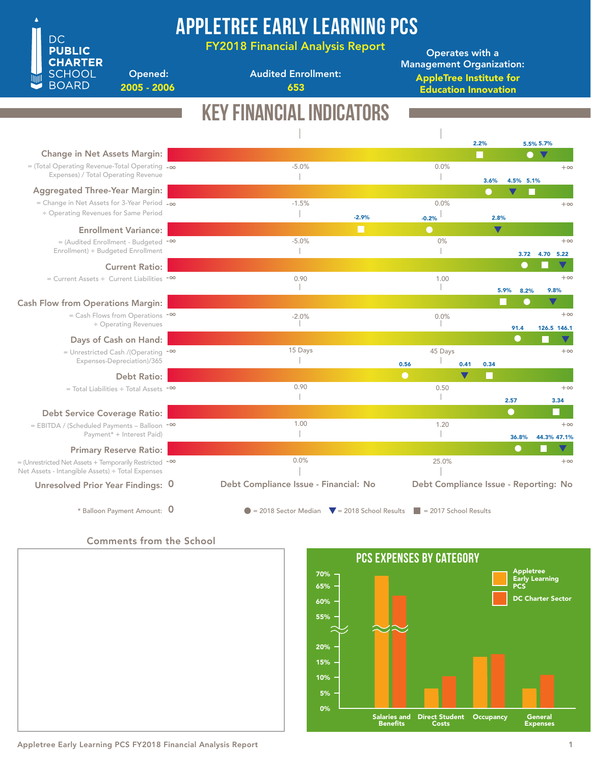

Audited Enrollment:

AppleTree Institute for Education Innovation Operates with a Management Organization:

Opened: 2005 - 2006 **653** 

**DC PUBLIC CHARTER SCHOOL BOARD** 

Key Financial Indicators

| <b>Change in Net Assets Margin:</b>                                                                               |                                                                                                |                                       | 2.2%<br>I. |                      | $\bullet$ | 5.5% 5.7%<br>$\blacktriangledown$ |                   |
|-------------------------------------------------------------------------------------------------------------------|------------------------------------------------------------------------------------------------|---------------------------------------|------------|----------------------|-----------|-----------------------------------|-------------------|
| $=$ (Total Operating Revenue-Total Operating $-\infty$                                                            | $-5.0%$                                                                                        | 0.0%                                  |            |                      |           |                                   | $+\infty$         |
| Expenses) / Total Operating Revenue                                                                               |                                                                                                |                                       |            | 3.6%                 | 4.5% 5.1% |                                   |                   |
| <b>Aggregated Three-Year Margin:</b>                                                                              |                                                                                                |                                       |            | V                    |           |                                   |                   |
| = Change in Net Assets for 3-Year Period $-\infty$                                                                | $-1.5%$                                                                                        | 0.0%                                  |            |                      |           |                                   | $+\infty$         |
| ÷ Operating Revenues for Same Period                                                                              | $-2.9%$                                                                                        | $-0.2%$                               |            | 2.8%                 |           |                                   |                   |
| <b>Enrollment Variance:</b>                                                                                       |                                                                                                | $\bullet$                             |            | $\blacktriangledown$ |           |                                   |                   |
| $=$ (Audited Enrollment - Budgeted $-$ <sup>00</sup>                                                              | $-5.0%$                                                                                        | 0%                                    |            |                      |           |                                   | $+\infty$         |
| Enrollment) ÷ Budgeted Enrollment                                                                                 |                                                                                                |                                       |            |                      | 3.72      | 4.70 5.22                         |                   |
| <b>Current Ratio:</b>                                                                                             | 0.90                                                                                           |                                       |            |                      | $\bullet$ |                                   | $+\infty$         |
| $=$ Current Assets ÷ Current Liabilities $-$ <sup>00</sup>                                                        |                                                                                                | 1.00                                  |            | 5.9%                 | 8.2%      | 9.8%                              |                   |
| <b>Cash Flow from Operations Margin:</b>                                                                          |                                                                                                |                                       |            |                      | $\bullet$ |                                   |                   |
| $=$ Cash Flows from Operations $-$ <sup>00</sup>                                                                  | $-2.0%$                                                                                        | 0.0%                                  |            |                      |           |                                   | $+\infty$         |
| ÷ Operating Revenues                                                                                              |                                                                                                |                                       |            |                      | 91.4      | 126.5 146.1                       |                   |
| Days of Cash on Hand:                                                                                             |                                                                                                |                                       |            |                      | $\bullet$ |                                   |                   |
| = Unrestricted Cash /(Operating $-\infty$                                                                         | 15 Days                                                                                        | 45 Days                               |            |                      |           |                                   | $+\infty$         |
| Expenses-Depreciation)/365                                                                                        |                                                                                                | 0.56                                  | 0.41       | 0.34                 |           |                                   |                   |
| Debt Ratio:                                                                                                       | 0.90                                                                                           | $\bullet$                             |            |                      |           |                                   |                   |
| $=$ Total Liabilities $\div$ Total Assets $-$ <sup>00</sup>                                                       |                                                                                                | 0.50                                  |            | 2.57                 |           |                                   | $+\infty$<br>3.34 |
| <b>Debt Service Coverage Ratio:</b>                                                                               |                                                                                                |                                       |            | $\bigcirc$           |           |                                   |                   |
| = EBITDA / (Scheduled Payments - Balloon -00                                                                      | 1.00                                                                                           | 1.20                                  |            |                      |           |                                   | $+\infty$         |
| Payment* + Interest Paid)                                                                                         |                                                                                                |                                       |            |                      | 36.8%     | 44.3% 47.1%                       |                   |
| <b>Primary Reserve Ratio:</b>                                                                                     |                                                                                                |                                       |            |                      |           |                                   |                   |
| = (Unrestricted Net Assets + Temporarily Restricted $-\infty$<br>Net Assets - Intangible Assets) ÷ Total Expenses | 0.0%                                                                                           | 25.0%                                 |            |                      |           |                                   | $+\infty$         |
| Unresolved Prior Year Findings: 0                                                                                 | Debt Compliance Issue - Financial: No                                                          | Debt Compliance Issue - Reporting: No |            |                      |           |                                   |                   |
| * Balloon Payment Amount: 0                                                                                       | $\bullet$ = 2018 Sector Median $\bullet$ = 2018 School Results $\bullet$ = 2017 School Results |                                       |            |                      |           |                                   |                   |

Comments from the School



Appletree Early Learning PCS FY2018 Financial Analysis Report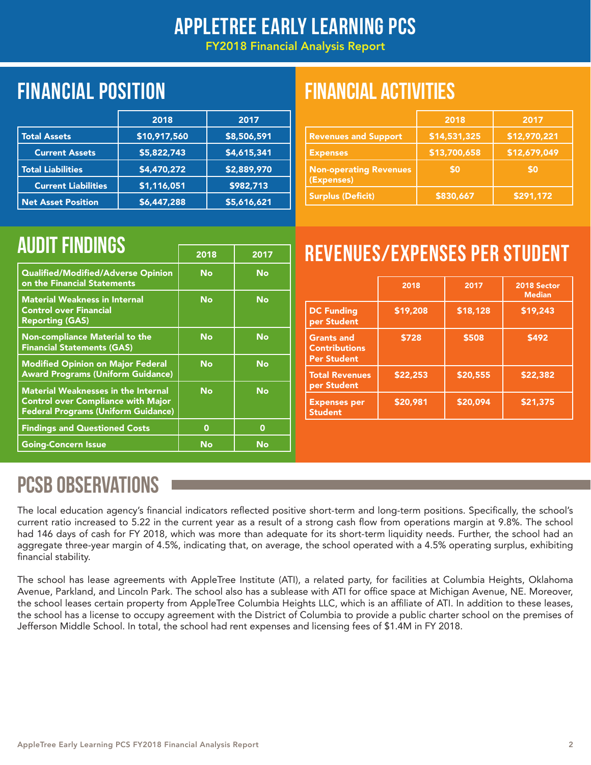## AppleTree Early Learning PCS

FY2018 Financial Analysis Report

## Financial position FINANCIAL ACTIVITIES

|                            | 2018         | 2017        |
|----------------------------|--------------|-------------|
| <b>Total Assets</b>        | \$10,917,560 | \$8,506,591 |
| <b>Current Assets</b>      | \$5,822,743  | \$4,615,341 |
| <b>Total Liabilities</b>   | \$4,470,272  | \$2,889,970 |
| <b>Current Liabilities</b> | \$1,116,051  | \$982,713   |
| <b>Net Asset Position</b>  | \$6,447,288  | \$5,616,621 |

|                                             | 2018         | 2017         |
|---------------------------------------------|--------------|--------------|
| <b>Revenues and Support</b>                 | \$14,531,325 | \$12,970,221 |
| <b>Expenses</b>                             | \$13,700,658 | \$12,679,049 |
| <b>Non-operating Revenues</b><br>(Expenses) | \$0          | \$0          |
| <b>Surplus (Deficit)</b>                    | \$830,667    | \$291,172    |

| 2018      | 2017      |
|-----------|-----------|
| <b>No</b> | <b>No</b> |
| <b>No</b> | <b>No</b> |
| No        | <b>No</b> |
| <b>No</b> | No        |
| <b>No</b> | <b>No</b> |
| 0         | 0         |
| No        | No        |
|           |           |

# AUDIT FINDINGS **Example 2018** | 2017 | REVENUES/EXPENSES PER STUDENT

|                                                                 | 2018     | 2017     | 2018 Sector<br><b>Median</b> |
|-----------------------------------------------------------------|----------|----------|------------------------------|
| <b>DC Funding</b><br>per Student                                | \$19,208 | \$18,128 | \$19,243                     |
| <b>Grants and</b><br><b>Contributions</b><br><b>Per Student</b> | \$728    | \$508    | \$492                        |
| <b>Total Revenues</b><br>per Student                            | \$22,253 | \$20,555 | \$22,382                     |
| <b>Expenses per</b><br><b>Student</b>                           | \$20,981 | \$20,094 | \$21,375                     |

## PCSB OBSERVATIONS

The local education agency's financial indicators reflected positive short-term and long-term positions. Specifically, the school's current ratio increased to 5.22 in the current year as a result of a strong cash flow from operations margin at 9.8%. The school had 146 days of cash for FY 2018, which was more than adequate for its short-term liquidity needs. Further, the school had an aggregate three-year margin of 4.5%, indicating that, on average, the school operated with a 4.5% operating surplus, exhibiting financial stability.

The school has lease agreements with AppleTree Institute (ATI), a related party, for facilities at Columbia Heights, Oklahoma Avenue, Parkland, and Lincoln Park. The school also has a sublease with ATI for office space at Michigan Avenue, NE. Moreover, the school leases certain property from AppleTree Columbia Heights LLC, which is an affiliate of ATI. In addition to these leases, the school has a license to occupy agreement with the District of Columbia to provide a public charter school on the premises of Jefferson Middle School. In total, the school had rent expenses and licensing fees of \$1.4M in FY 2018.